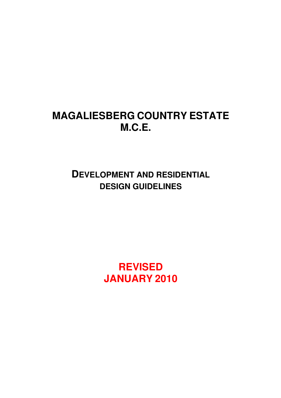# **MAGALIESBERG COUNTRY ESTATE M.C.E.**

**DEVELOPMENT AND RESIDENTIAL DESIGN GUIDELINES**

> **REVISED JANUARY 2010**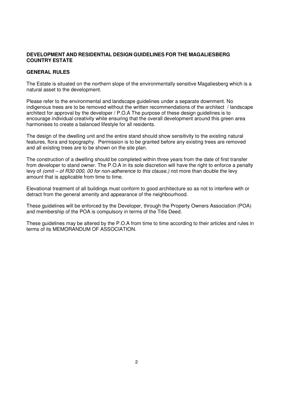# **DEVELOPMENT AND RESIDENTIAL DESIGN GUIDELINES FOR THE MAGALIESBERG COUNTRY ESTATE**

### **GENERAL RULES**

The Estate is situated on the northern slope of the environmentally sensitive Magaliesberg which is a natural asset to the development.

Please refer to the environmental and landscape guidelines under a separate downment. No indigenous trees are to be removed without the written recommendations of the architect / landscape architect for approval by the developer / P.O.A The purpose of these design guidelines is to encourage individual creativity while ensuring that the overall development around this green area harmonises to create a balanced lifestyle for all residents.

The design of the dwelling unit and the entire stand should show sensitivity to the existing natural features, flora and topography. Permission is to be granted before any existing trees are removed and all existing trees are to be shown on the site plan.

The construction of a dwelling should be completed within three years from the date of first transfer from developer to stand owner. The P.O.A in its sole discretion will have the right to enforce a penalty levy of (omit – of R30 000, 00 for non-adherence to this clause.) not more than double the levy amount that is applicable from time to time.

Elevational treatment of all buildings must conform to good architecture so as not to interfere with or detract from the general amenity and appearance of the neighbourhood.

These guidelines will be enforced by the Developer, through the Property Owners Association (POA) and membership of the POA is compulsory in terms of the Title Deed.

These guidelines may be altered by the P.O.A from time to time according to their articles and rules in terms of its MEMORANDUM OF ASSOCIATION.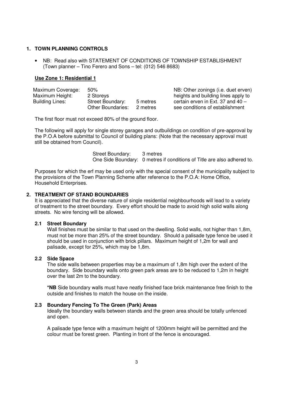### **1. TOWN PLANNING CONTROLS**

• NB: Read also with STATEMENT OF CONDITIONS OF TOWNSHIP ESTABLISHMENT (Town planner – Tino Ferero and Sons – tel: (012) 546 8683)

## **Use Zone 1: Residential 1**

| Maximum Coverage: | $50\%$                   |          | NE |
|-------------------|--------------------------|----------|----|
| Maximum Height:   | 2 Storeys                |          | he |
| Building Lines:   | <b>Street Boundary:</b>  | 5 metres | ce |
|                   | <b>Other Boundaries:</b> | 2 metres | se |

B: Other zonings (i.e. duet erven) ights and building lines apply to rtain erven in Ext. 37 and  $40$ e conditions of establishment

The first floor must not exceed 80% of the ground floor.

The following will apply for single storey garages and outbuildings on condition of pre-approval by the P.O.A before submittal to Council of building plans: (Note that the necessary approval must still be obtained from Council).

> Street Boundary: 3 metres One Side Boundary: 0 metres if conditions of Title are also adhered to.

Purposes for which the erf may be used only with the special consent of the municipality subject to the provisions of the Town Planning Scheme after reference to the P.O.A: Home Office, Household Enterprises.

# **2. TREATMENT OF STAND BOUNDARIES**

It is appreciated that the diverse nature of single residential neighbourhoods will lead to a variety of treatment to the street boundary. Every effort should be made to avoid high solid walls along streets. No wire fencing will be allowed.

#### **2.1 Street Boundary**

Wall finishes must be similar to that used on the dwelling. Solid walls, not higher than 1,8m, must not be more than 25% of the street boundary. Should a palisade type fence be used it should be used in conjunction with brick pillars. Maximum height of 1,2m for wall and palisade, except for 25%, which may be 1,8m.

#### **2.2 Side Space**

The side walls between properties may be a maximum of 1,8m high over the extent of the boundary. Side boundary walls onto green park areas are to be reduced to 1,2m in height over the last 2m to the boundary.

**\*NB** Side boundary walls must have neatly finished face brick maintenance free finish to the outside and finishes to match the house on the inside.

### **2.3 Boundary Fencing To The Green (Park) Areas**

Ideally the boundary walls between stands and the green area should be totally unfenced and open.

A palisade type fence with a maximum height of 1200mm height will be permitted and the colour must be forest green. Planting in front of the fence is encouraged.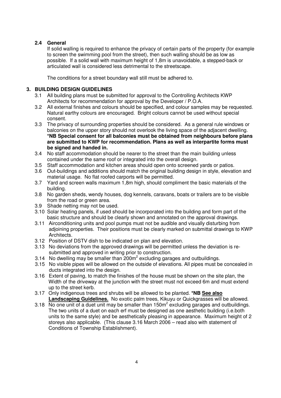# **2.4 General**

If solid walling is required to enhance the privacy of certain parts of the property (for example to screen the swimming pool from the street), then such walling should be as low as possible. If a solid wall with maximum height of 1,8m is unavoidable, a stepped-back or articulated wall is considered less detrimental to the streetscape.

The conditions for a street boundary wall still must be adhered to.

# **3. BUILDING DESIGN GUIDELINES**

- 3.1 All building plans must be submitted for approval to the Controlling Architects KWP Architects for recommendation for approval by the Developer / P.O.A.
- 3.2 All external finishes and colours should be specified, and colour samples may be requested. Natural earthy colours are encouraged. Bright colours cannot be used without special consent.
- 3.3 The privacy of surrounding properties should be considered. As a general rule windows or balconies on the upper story should not overlook the living space of the adjacent dwelling. **\*NB Special consent for all balconies must be obtained from neighbours before plans are submitted to KWP for recommendation. Plans as well as interpartite forms must be signed and handed in.**
- 3.4 No staff accommodation should be nearer to the street than the main building unless contained under the same roof or integrated into the overall design.
- 3.5 Staff accommodation and kitchen areas should open onto screened yards or patios.
- 3.6 Out-buildings and additions should match the original building design in style, elevation and material usage. No flat roofed carports will be permitted.
- 3.7 Yard and screen walls maximum 1,8m high, should compliment the basic materials of the building.
- 3.8 No garden sheds, wendy houses, dog kennels, caravans, boats or trailers are to be visible from the road or green area.
- 3.9 Shade netting may not be used.
- 3.10 Solar heating panels, if used should be incorporated into the building and form part of the basic structure and should be clearly shown and annotated on the approval drawings.
- 3.11 Airconditioning units and pool pumps must not be audible and visually disturbing from adjoining properties. Their positions must be clearly marked on submittal drawings to KWP Architects.
- 3.12 Position of DSTV dish to be indicated on plan and elevation.
- 3.13 No deviations from the approved drawings will be permitted unless the deviation is re submitted and approved in writing prior to construction.
- 3.14 No dwelling may be smaller than  $200m^2$  excluding garages and outbuildings.
	- 3.15 No visible pipes will be allowed on the outside of elevations. All pipes must be concealed in ducts integrated into the design.
	- 3.16 Extent of paving, to match the finishes of the house must be shown on the site plan, the Width of the driveway at the junction with the street must not exceed 6m and must extend up to the street kerb.
	- 3.17 Only indigenous trees and shrubs will be allowed to be planted. **\*NB See also Landscaping Guidelines.** No exotic palm trees, Kikuyu or Quickgrasses will be allowed.
	- 3.18 No one unit of a duet unit may be smaller than 150 $m^2$  excluding garages and outbuildings. The two units of a duet on each erf must be designed as one aesthetic building (i.e.both units to the same style) and be aesthetically pleasing in appearance. Maximum height of 2 storeys also applicable. (This clause 3.16 March 2006 – read also with statement of Conditions of Township Establishment).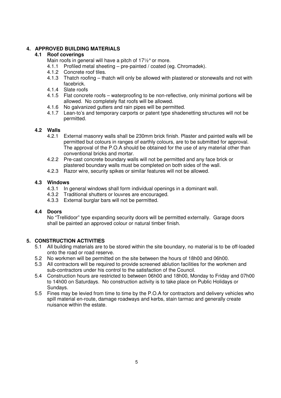# **4. APPROVED BUILDING MATERIALS**

# **4.1 Roof coverings**

Main roofs in general will have a pitch of 17½° or more.

- 4.1.1 Profiled metal sheeting pre-painted / coated (eg. Chromadek).
- 4.1.2 Concrete roof tiles.
- 4.1.3 Thatch roofing thatch will only be allowed with plastered or stonewalls and not with facebrick.
- 4.1.4 Slate roofs
- 4.1.5 Flat concrete roofs waterproofing to be non-reflective, only minimal portions will be allowed. No completely flat roofs will be allowed.
- 4.1.6 No galvanized gutters and rain pipes will be permitted.
- 4.1.7 Lean-to's and temporary carports or patent type shadenetting structures will not be permitted.

# **4.2 Walls**

- 4.2.1 External masonry walls shall be 230mm brick finish. Plaster and painted walls will be permitted but colours in ranges of earthly colours, are to be submitted for approval. The approval of the P.O.A should be obtained for the use of any material other than conventional bricks and mortar.
- 4.2.2 Pre-cast concrete boundary walls will not be permitted and any face brick or plastered boundary walls must be completed on both sides of the wall.
- 4.2.3 Razor wire, security spikes or similar features will not be allowed.

# **4.3 Windows**

- 4.3.1 In general windows shall form individual openings in a dominant wall.
- 4.3.2 Traditional shutters or louvres are encouraged.
- 4.3.3 External burglar bars will not be permitted.

# **4.4 Doors**

No "Trellidoor" type expanding security doors will be permitted externally. Garage doors shall be painted an approved colour or natural timber finish.

# **5. CONSTRUCTION ACTIVITIES**

- 5.1 All building materials are to be stored within the site boundary, no material is to be off-loaded onto the road or road reserve.
- 5.2 No workmen will be permitted on the site between the hours of 18h00 and 06h00.
- 5.3 All contractors will be required to provide screened ablution facilities for the workmen and sub-contractors under his control to the satisfaction of the Council.
- 5.4 Construction hours are restricted to between 06h00 and 18h00, Monday to Friday and 07h00 to 14h00 on Saturdays. No construction activity is to take place on Public Holidays or Sundays.
- 5.5 Fines may be levied from time to time by the P.O.A for contractors and delivery vehicles who spill material en-route, damage roadways and kerbs, stain tarmac and generally create nuisance within the estate.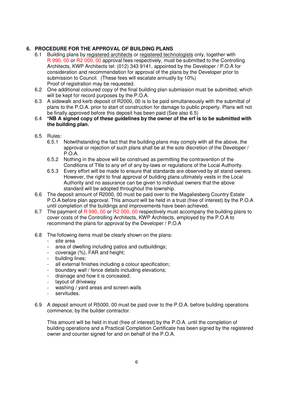# **6. PROCEDURE FOR THE APPROVAL OF BUILDING PLANS**

- 6.1 Building plans by registered architects or registered technologists only, together with R 990, 00 or R2 000, 00 approval fees respectively, must be submitted to the Controlling Architects, KWP Architects tel: (012) 343 9141, appointed by the Developer / P.O.A for consideration and recommendation for approval of the plans by the Developer prior to submission to Council. (These fees will escalate annually by 10%) Proof of registration may be requested.
- 6.2 One additional coloured copy of the final building plan submission must be submitted, which will be kept for record purposes by the P.O.A.
- 6.3 A sidewalk and kerb deposit of R2000, 00 is to be paid simultaneously with the submittal of plans to the P.O.A. prior to start of construction for damage to public property. Plans will not be finally approved before this deposit has been paid (See also 6.5)
- 6.4 **\*NB A signed copy of these guidelines by the owner of the erf is to be submitted with the building plan.**
- 6.5 Rules:
	- 6.5.1 Notwithstanding the fact that the building plans may comply with all the above, the approval or rejection of such plans shall be at the sole discretion of the Developer / P.O.A.
	- 6.5.2 Nothing in the above will be construed as permitting the contravention of the Conditions of Title to any erf of any by-laws or regulations of the Local Authority.
	- 6.5.3 Every effort will be made to ensure that standards are observed by all stand owners. However, the right to final approval of building plans ultimately vests in the Local Authority and no assurance can be given to individual owners that the above standard will be adopted throughout the township.
- 6.6 The deposit amount of R2000, 00 must be paid over to the Magaliesberg Country Estate P.O.A before plan approval. This amount will be held in a trust (free of interest) by the P.O.A until completion of the buildings and improvements have been achieved.
- 6.7 The payment of R 990, 00 or R2 000, 00 respectively must accompany the building plans to cover costs of the Controlling Architects, KWP Architects, employed by the P.O.A to recommend the plans for approval by the Developer / P.O.A
- 6.8 The following items must be clearly shown on the plans:
	- site area
	- area of dwelling including patios and outbuildings:
	- coverage (%), FAR and height:
	- building lines;
	- all external finishes including a colour specification;
	- boundary wall / fence details including elevations;
	- drainage and how it is concealed;
	- layout of driveway
	- washing / yard areas and screen walls
	- servitudes.
- 6.9 A deposit amount of R5000, 00 must be paid over to the P.O.A. before building operations commence, by the builder contractor.

 This amount will be held in trust (free of interest) by the P.O.A. until the completion of building operations and a Practical Completion Certificate has been signed by the registered owner and counter signed for and on behalf of the P.O.A.